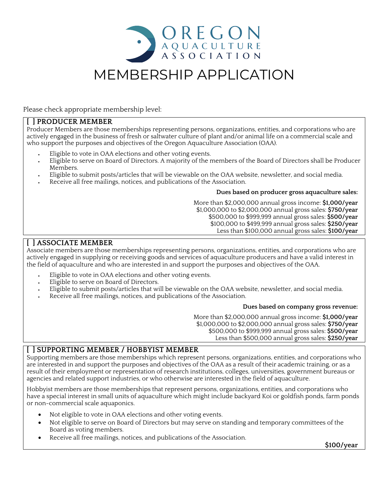

# MEMBERSHIP APPLICATION

Please check appropriate membership level:

#### **[ ] PRODUCER MEMBER**

Producer Members are those memberships representing persons, organizations, entities, and corporations who are actively engaged in the business of fresh or saltwater culture of plant and/or animal life on a commercial scale and who support the purposes and objectives of the Oregon Aquaculture Association (OAA).

- Eligible to vote in OAA elections and other voting events.
- Eligible to serve on Board of Directors. A majority of the members of the Board of Directors shall be Producer Members.
- Eligible to submit posts/articles that will be viewable on the OAA website, newsletter, and social media.
- Receive all free mailings, notices, and publications of the Association.

#### **Dues based on producer gross aquaculture sales:**

More than \$2,000,000 annual gross income: **\$1,000/year**  \$1,000,000 to \$2,000,000 annual gross sales: **\$750/year**  \$500,000 to \$999,999 annual gross sales: **\$500/year**  \$100,000 to \$499,999 annual gross sales: **\$250/year**  Less than \$100,000 annual gross sales: **\$100/year**

## **[ ] ASSOCIATE MEMBER**

Associate members are those memberships representing persons, organizations, entities, and corporations who are actively engaged in supplying or receiving goods and services of aquaculture producers and have a valid interest in the field of aquaculture and who are interested in and support the purposes and objectives of the OAA.

- Eligible to vote in OAA elections and other voting events.
- Eligible to serve on Board of Directors.
- Eligible to submit posts/articles that will be viewable on the OAA website, newsletter, and social media.
- Receive all free mailings, notices, and publications of the Association.

#### **Dues based on company gross revenue:**

More than \$2,000,000 annual gross income: **\$1,000/year**  \$1,000,000 to \$2,000,000 annual gross sales: **\$750/year**  \$500,000 to \$999,999 annual gross sales: **\$500/year**  Less than \$500,000 annual gross sales: **\$250/year**

## **[ ] SUPPORTING MEMBER / HOBBYIST MEMBER**

Supporting members are those memberships which represent persons, organizations, entities, and corporations who are interested in and support the purposes and objectives of the OAA as a result of their academic training, or as a result of their employment or representation of research institutions, colleges, universities, government bureaus or agencies and related support industries, or who otherwise are interested in the field of aquaculture.

Hobbyist members are those memberships that represent persons, organizations, entities, and corporations who have a special interest in small units of aquaculture which might include backyard Koi or goldfish ponds, farm ponds or non-commercial scale aquaponics.

- Not eligible to vote in OAA elections and other voting events.
- Not eligible to serve on Board of Directors but may serve on standing and temporary committees of the Board as voting members.
- Receive all free mailings, notices, and publications of the Association.

**\$100/year**